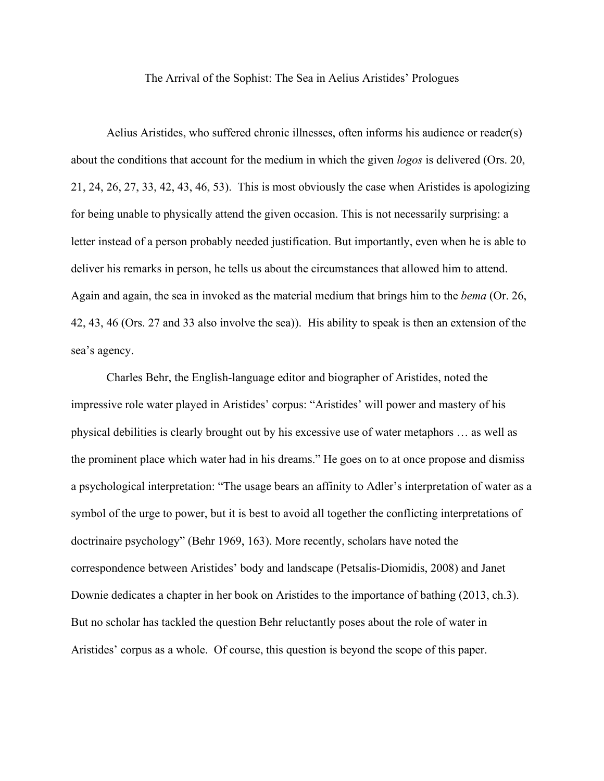The Arrival of the Sophist: The Sea in Aelius Aristides' Prologues

Aelius Aristides, who suffered chronic illnesses, often informs his audience or reader(s) about the conditions that account for the medium in which the given *logos* is delivered (Ors. 20, 21, 24, 26, 27, 33, 42, 43, 46, 53). This is most obviously the case when Aristides is apologizing for being unable to physically attend the given occasion. This is not necessarily surprising: a letter instead of a person probably needed justification. But importantly, even when he is able to deliver his remarks in person, he tells us about the circumstances that allowed him to attend. Again and again, the sea in invoked as the material medium that brings him to the *bema* (Or. 26, 42, 43, 46 (Ors. 27 and 33 also involve the sea)). His ability to speak is then an extension of the sea's agency.

Charles Behr, the English-language editor and biographer of Aristides, noted the impressive role water played in Aristides' corpus: "Aristides' will power and mastery of his physical debilities is clearly brought out by his excessive use of water metaphors … as well as the prominent place which water had in his dreams." He goes on to at once propose and dismiss a psychological interpretation: "The usage bears an affinity to Adler's interpretation of water as a symbol of the urge to power, but it is best to avoid all together the conflicting interpretations of doctrinaire psychology" (Behr 1969, 163). More recently, scholars have noted the correspondence between Aristides' body and landscape (Petsalis-Diomidis, 2008) and Janet Downie dedicates a chapter in her book on Aristides to the importance of bathing (2013, ch.3). But no scholar has tackled the question Behr reluctantly poses about the role of water in Aristides' corpus as a whole. Of course, this question is beyond the scope of this paper.